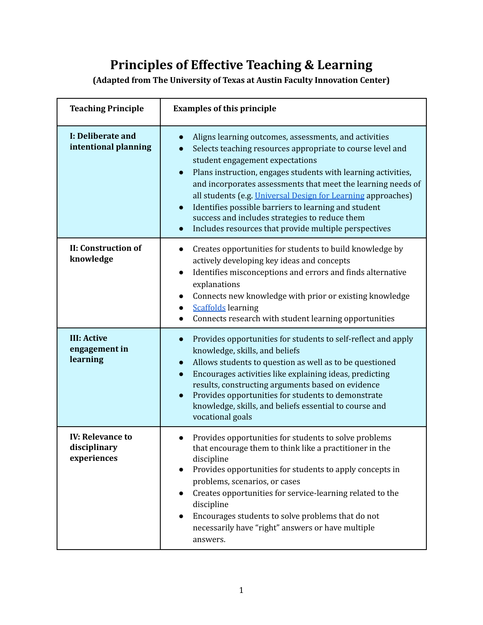## **Principles of Effective Teaching & Learning**

**(Adapted from The University of Texas at Austin Faculty Innovation Center)**

| <b>Teaching Principle</b>                              | <b>Examples of this principle</b>                                                                                                                                                                                                                                                                                                                                                                                                                                                                                                                            |
|--------------------------------------------------------|--------------------------------------------------------------------------------------------------------------------------------------------------------------------------------------------------------------------------------------------------------------------------------------------------------------------------------------------------------------------------------------------------------------------------------------------------------------------------------------------------------------------------------------------------------------|
| I: Deliberate and<br>intentional planning              | Aligns learning outcomes, assessments, and activities<br>Selects teaching resources appropriate to course level and<br>student engagement expectations<br>Plans instruction, engages students with learning activities,<br>$\bullet$<br>and incorporates assessments that meet the learning needs of<br>all students (e.g. <i>Universal Design for Learning approaches</i> )<br>Identifies possible barriers to learning and student<br>$\bullet$<br>success and includes strategies to reduce them<br>Includes resources that provide multiple perspectives |
| <b>II: Construction of</b><br>knowledge                | Creates opportunities for students to build knowledge by<br>actively developing key ideas and concepts<br>Identifies misconceptions and errors and finds alternative<br>$\bullet$<br>explanations<br>Connects new knowledge with prior or existing knowledge<br><b>Scaffolds</b> learning<br>Connects research with student learning opportunities                                                                                                                                                                                                           |
| <b>III: Active</b><br>engagement in<br>learning        | Provides opportunities for students to self-reflect and apply<br>$\bullet$<br>knowledge, skills, and beliefs<br>Allows students to question as well as to be questioned<br>$\bullet$<br>Encourages activities like explaining ideas, predicting<br>$\bullet$<br>results, constructing arguments based on evidence<br>Provides opportunities for students to demonstrate<br>$\bullet$<br>knowledge, skills, and beliefs essential to course and<br>vocational goals                                                                                           |
| <b>IV: Relevance to</b><br>disciplinary<br>experiences | Provides opportunities for students to solve problems<br>that encourage them to think like a practitioner in the<br>discipline<br>Provides opportunities for students to apply concepts in<br>$\bullet$<br>problems, scenarios, or cases<br>Creates opportunities for service-learning related to the<br>discipline<br>Encourages students to solve problems that do not<br>necessarily have "right" answers or have multiple<br>answers.                                                                                                                    |